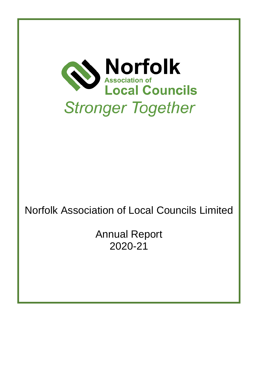

# Norfolk Association of Local Councils Limited

Annual Report 2020-21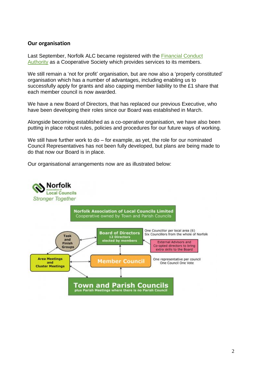#### **Our organisation**

Last September, Norfolk ALC became registered with the [Financial Conduct](https://mutuals.fca.org.uk/Search/Society/30735)  [Authority](https://mutuals.fca.org.uk/Search/Society/30735) as a Cooperative Society which provides services to its members.

We still remain a 'not for profit' organisation, but are now also a 'properly constituted' organisation which has a number of advantages, including enabling us to successfully apply for grants and also capping member liability to the £1 share that each member council is now awarded.

We have a new Board of Directors, that has replaced our previous Executive, who have been developing their roles since our Board was established in March.

Alongside becoming established as a co-operative organisation, we have also been putting in place robust rules, policies and procedures for our future ways of working.

We still have further work to do – for example, as yet, the role for our nominated Council Representatives has not been fully developed, but plans are being made to do that now our Board is in place.

Our organisational arrangements now are as illustrated below:

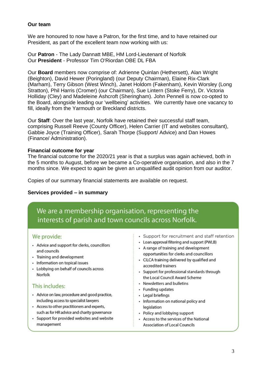#### **Our team**

We are honoured to now have a Patron, for the first time, and to have retained our President, as part of the excellent team now working with us:

Our **Patron** - The Lady Dannatt MBE, HM Lord-Lieutenant of Norfolk Our **President** - Professor Tim O'Riordan OBE DL FBA

Our **Board** members now comprise of: Adrienne Quinlan (Hethersett), Alan Wright (Beighton), David Hewer (Poringland) (our Deputy Chairman), Elaine Rix-Clark (Marham), Terry Gibson (West Winch), Janet Holdom (Fakenham), Kevin Worsley (Long Stratton), Phil Harris (Cromer) (our Chairman), Sue Lintern (Stoke Ferry), Dr. Victoria Holliday (Cley) and Madeleine Ashcroft (Sheringham). John Pennell is now co-opted to the Board, alongside leading our 'wellbeing' activities. We currently have one vacancy to fill, ideally from the Yarmouth or Breckland districts.

Our **Staff**: Over the last year, Norfolk have retained their successful staff team, comprising Russell Reeve (County Officer), Helen Carrier (IT and websites consultant), Gabbie Joyce (Training Officer), Sarah Thorpe (Support/ Advice) and Dan Howes (Finance/ Administration).

# **Financial outcome for year**

The financial outcome for the 2020/21 year is that a surplus was again achieved, both in the 5 months to August, before we became a Co-operative organisation, and also in the 7 months since. We expect to again be given an unqualified audit opinion from our auditor.

Copies of our summary financial statements are available on request.

# **Services provided – in summary**

We are a membership organisation, representing the interests of parish and town councils across Norfolk.

# We provide:

- Advice and support for clerks, councillors and councils
- Training and development
- Information on topical issues
- Lobbying on behalf of councils across Norfolk

# This includes:

- Advice on law, procedure and good practice, including access to specialist lawyers
- Access to other practitioners and experts, such as for HR advice and charity governance
- Support for provided websites and website management
- · Support for recruitment and staff retention
- Loan approval filtering and support (PWLB)
- A range of training and development opportunities for clerks and councillors
- CiLCA training delivered by qualified and accredited trainers
- Support for professional standards through the Local Council Award Scheme
- Newsletters and bulletins
- · Funding updates
- Legal briefings
- Information on national policy and legislation
- Policy and lobbying support
- Access to the services of the National **Association of Local Councils**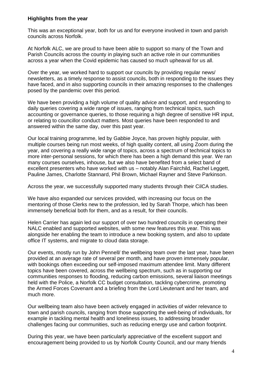#### **Highlights from the year**

This was an exceptional year, both for us and for everyone involved in town and parish councils across Norfolk.

At Norfolk ALC, we are proud to have been able to support so many of the Town and Parish Councils across the county in playing such an active role in our communities across a year when the Covid epidemic has caused so much upheaval for us all.

Over the year, we worked hard to support our councils by providing regular news/ newsletters, as a timely response to assist councils, both in responding to the issues they have faced, and in also supporting councils in their amazing responses to the challenges posed by the pandemic over this period.

We have been providing a high volume of quality advice and support, and responding to daily queries covering a wide range of issues, ranging from technical topics, such accounting or governance queries, to those requiring a high degree of sensitive HR input, or relating to councillor conduct matters. Most queries have been responded to and answered within the same day, over this past year.

Our local training programme, led by Gabbie Joyce, has proven highly popular, with multiple courses being run most weeks, of high quality content, all using Zoom during the year, and covering a really wide range of topics, across a spectrum of technical topics to more inter-personal sessions, for which there has been a high demand this year. We ran many courses ourselves, inhouse, but we also have benefited from a select band of excellent presenters who have worked with us – notably Alan Fairchild, Rachel Leggett, Pauline James, Charlotte Stannard, Phil Brown, Michael Rayner and Steve Parkinson.

Across the year, we successfully supported many students through their CilCA studies.

We have also expanded our services provided, with increasing our focus on the mentoring of those Clerks new to the profession, led by Sarah Thorpe, which has been immensely beneficial both for them, and as a result, for their councils.

Helen Carrier has again led our support of over two hundred councils in operating their NALC enabled and supported websites, with some new features this year. This was alongside her enabling the team to introduce a new booking system, and also to update office IT systems, and migrate to cloud data storage.

Our events, mostly run by John Pennell/ the wellbeing team over the last year, have been provided at an average rate of several per month, and have proven immensely popular, with bookings often exceeding our self-imposed maximum attendee limit. Many different topics have been covered, across the wellbeing spectrum, such as in supporting our communities responses to flooding, reducing carbon emissions, several liaison meetings held with the Police, a Norfolk CC budget consultation, tackling cybercrime, promoting the Armed Forces Covenant and a briefing from the Lord Lieutenant and her team, and much more.

Our wellbeing team also have been actively engaged in activities of wider relevance to town and parish councils, ranging from those supporting the well-being of individuals, for example in tackling mental health and loneliness issues, to addressing broader challenges facing our communities, such as reducing energy use and carbon footprint.

During this year, we have been particularly appreciative of the excellent support and encouragement being provided to us by Norfolk County Council, and our many friends